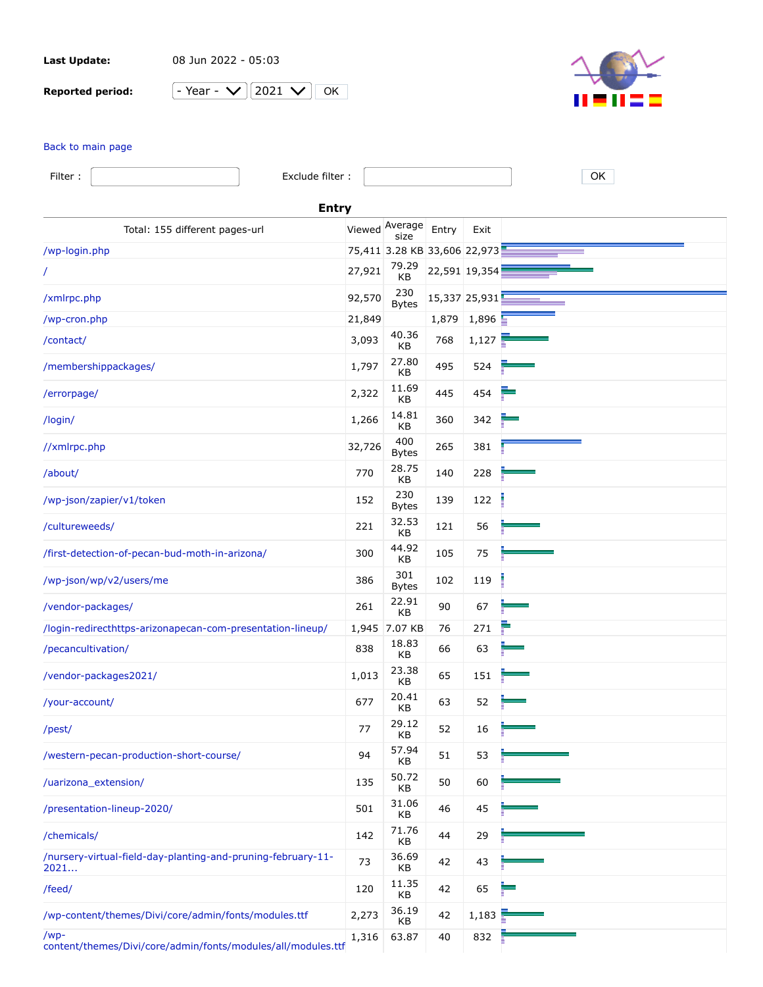**Last Update:** 08 Jun 2022 - 05:03

**Reported period:**  $\boxed{-}$ 

| Y≏⊇r | 2021 | שר |
|------|------|----|
|      |      |    |



## [Back to main page](https://a2plvcpnl382807.prod.iad2.secureserver.net:2083/cpsess3275439984/awstats.pl?month=all&year=2021&config=arizonapecan.com&lang=en&ssl=1&framename=mainright)

| Filter:                                 | Exclude filter :                                             |        |                              |               |               | OK |
|-----------------------------------------|--------------------------------------------------------------|--------|------------------------------|---------------|---------------|----|
| <b>Entry</b>                            |                                                              |        |                              |               |               |    |
|                                         | Total: 155 different pages-url                               |        | Viewed Average<br>size       | Entry         | Exit          |    |
| /wp-login.php                           |                                                              |        | 75,411 3.28 KB 33,606 22,973 |               |               |    |
|                                         |                                                              | 27,921 | 79.29<br>KB                  | 22,591 19,354 |               |    |
| /xmlrpc.php                             |                                                              | 92,570 | 230<br><b>Bytes</b>          |               | 15,337 25,931 |    |
| /wp-cron.php                            |                                                              | 21,849 |                              | 1,879         | 1,896         |    |
| /contact/                               |                                                              | 3,093  | 40.36<br>KB                  | 768           | 1,127         |    |
| /membershippackages/                    |                                                              | 1,797  | 27.80<br>KB                  | 495           | 524           |    |
| /errorpage/                             |                                                              | 2,322  | 11.69<br>КB                  | 445           | 454           |    |
| /login/                                 |                                                              | 1,266  | 14.81<br>KB                  | 360           | 342           |    |
| //xmlrpc.php                            |                                                              | 32,726 | 400<br><b>Bytes</b>          | 265           | 381           |    |
| /about/                                 |                                                              | 770    | 28.75<br>КB                  | 140           | 228           |    |
| /wp-json/zapier/v1/token                |                                                              | 152    | 230<br><b>Bytes</b>          | 139           | 122           |    |
| /cultureweeds/                          |                                                              | 221    | 32.53<br>KB                  | 121           | 56            |    |
|                                         | /first-detection-of-pecan-bud-moth-in-arizona/               | 300    | 44.92<br>KB                  | 105           | 75            |    |
| /wp-json/wp/v2/users/me                 |                                                              | 386    | 301<br><b>Bytes</b>          | 102           | 119           |    |
| /vendor-packages/                       |                                                              | 261    | 22.91<br>KB                  | 90            | 67            |    |
|                                         | /login-redirecthttps-arizonapecan-com-presentation-lineup/   |        | 1,945 7.07 KB                | 76            | 271           |    |
| /pecancultivation/                      |                                                              | 838    | 18.83<br>KB                  | 66            | 63            |    |
| /vendor-packages2021/                   |                                                              | 1,013  | 23.38<br>KB                  | 65            | 151           |    |
| /your-account/                          |                                                              | 677    | 20.41<br>KB                  | 63            | 52            |    |
| /pest/                                  |                                                              | 77     | 29.12<br>KB                  | 52            | 16            |    |
| /western-pecan-production-short-course/ |                                                              | 94     | 57.94<br>KB                  | 51            | 53            |    |
| /uarizona_extension/                    |                                                              | 135    | 50.72<br>KB                  | 50            | 60            |    |
| /presentation-lineup-2020/              |                                                              | 501    | 31.06<br>KВ                  | 46            | 45            |    |
| /chemicals/                             |                                                              | 142    | 71.76<br>KB                  | 44            | 29            |    |
| 2021                                    | /nursery-virtual-field-day-planting-and-pruning-february-11- | 73     | 36.69<br>KB                  | 42            | 43            |    |
| /feed/                                  |                                                              | 120    | 11.35<br>KB                  | 42            | 65            |    |
|                                         | /wp-content/themes/Divi/core/admin/fonts/modules.ttf         | 2,273  | 36.19<br>KB                  | 42            | 1,183         |    |
| /wp-                                    | content/themes/Divi/core/admin/fonts/modules/all/modules.ttf | 1,316  | 63.87                        | 40            | 832           |    |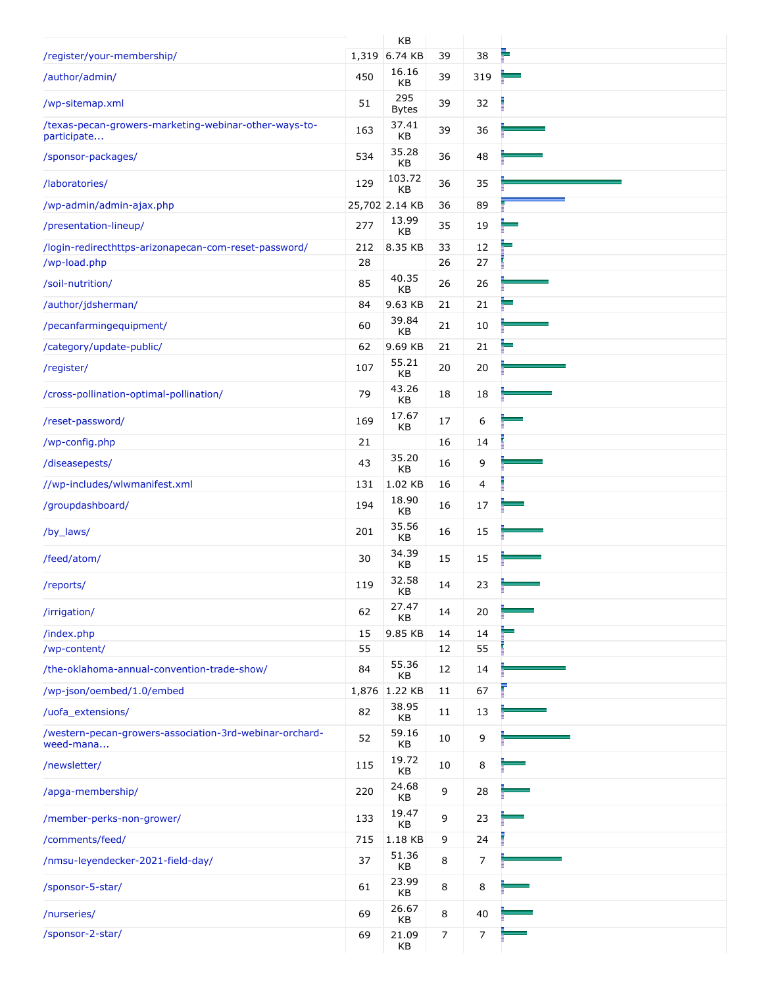|                                                                      |       | KB                  |                |     |  |
|----------------------------------------------------------------------|-------|---------------------|----------------|-----|--|
| /register/your-membership/                                           |       | 1,319 6.74 KB       | 39             | 38  |  |
| /author/admin/                                                       | 450   | 16.16<br>KB         | 39             | 319 |  |
| /wp-sitemap.xml                                                      | 51    | 295<br><b>Bytes</b> | 39             | 32  |  |
| /texas-pecan-growers-marketing-webinar-other-ways-to-<br>participate | 163   | 37.41<br>KB         | 39             | 36  |  |
| /sponsor-packages/                                                   | 534   | 35.28<br>КB         | 36             | 48  |  |
| /laboratories/                                                       | 129   | 103.72<br>КB        | 36             | 35  |  |
| /wp-admin/admin-ajax.php                                             |       | 25,702 2.14 KB      | 36             | 89  |  |
| /presentation-lineup/                                                | 277   | 13.99<br>KB         | 35             | 19  |  |
| /login-redirecthttps-arizonapecan-com-reset-password/                | 212   | 8.35 KB             | 33             | 12  |  |
| /wp-load.php                                                         | 28    | 40.35               | 26             | 27  |  |
| /soil-nutrition/                                                     | 85    | KB                  | 26             | 26  |  |
| /author/jdsherman/                                                   | 84    | 9.63 KB<br>39.84    | 21             | 21  |  |
| /pecanfarmingequipment/                                              | 60    | KB                  | 21             | 10  |  |
| /category/update-public/                                             | 62    | 9.69 KB             | 21             | 21  |  |
| /register/                                                           | 107   | 55.21<br>КB         | 20             | 20  |  |
| /cross-pollination-optimal-pollination/                              | 79    | 43.26<br>KB         | 18             | 18  |  |
| /reset-password/                                                     | 169   | 17.67<br>KB         | 17             | 6   |  |
| /wp-config.php                                                       | 21    |                     | 16             | 14  |  |
| /diseasepests/                                                       | 43    | 35.20<br>KB         | 16             | 9   |  |
| //wp-includes/wlwmanifest.xml                                        | 131   | 1.02 KB             | 16             | 4   |  |
| /groupdashboard/                                                     | 194   | 18.90<br>KВ         | 16             | 17  |  |
| /by_laws/                                                            | 201   | 35.56<br>KB         | 16             | 15  |  |
| /feed/atom/                                                          | 30    | 34.39<br>KB         | 15             | 15  |  |
| /reports/                                                            | 119   | 32.58<br>KB         | 14             | 23  |  |
| /irrigation/                                                         | 62    | 27.47<br>KB         | 14             | 20  |  |
| /index.php                                                           | 15    | 9.85 KB             | 14             | 14  |  |
| /wp-content/                                                         | 55    |                     | 12             | 55  |  |
| /the-oklahoma-annual-convention-trade-show/                          | 84    | 55.36<br>KВ         | 12             | 14  |  |
| /wp-json/oembed/1.0/embed                                            | 1,876 | 1.22 KB             | 11             | 67  |  |
| /uofa_extensions/                                                    | 82    | 38.95<br>KB         | 11             | 13  |  |
| /western-pecan-growers-association-3rd-webinar-orchard-<br>weed-mana | 52    | 59.16<br>KB         | 10             | 9   |  |
| /newsletter/                                                         | 115   | 19.72<br>KB         | 10             | 8   |  |
| /apga-membership/                                                    | 220   | 24.68<br>KB         | 9              | 28  |  |
| /member-perks-non-grower/                                            | 133   | 19.47<br>KB         | 9              | 23  |  |
| /comments/feed/                                                      | 715   | 1.18 KB             | 9              | 24  |  |
| /nmsu-leyendecker-2021-field-day/                                    | 37    | 51.36<br>KB         | 8              | 7   |  |
| /sponsor-5-star/                                                     | 61    | 23.99<br>KB         | 8              | 8   |  |
| /nurseries/                                                          | 69    | 26.67<br>KB         | 8              | 40  |  |
| /sponsor-2-star/                                                     | 69    | 21.09<br>KB         | $\overline{7}$ | 7   |  |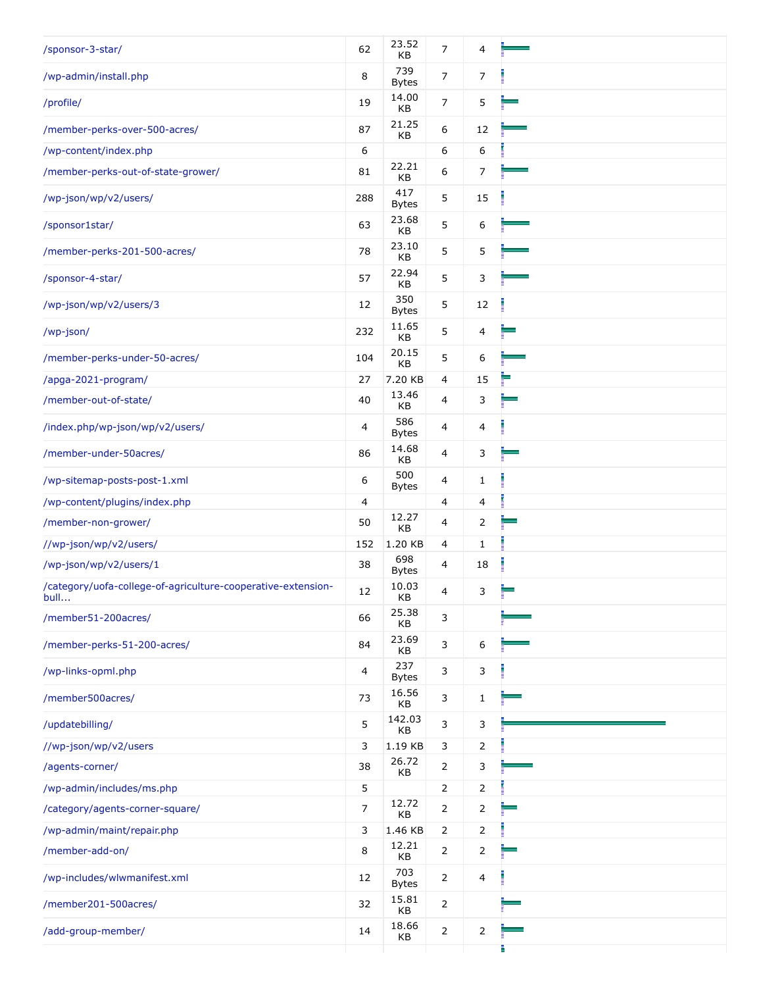| /sponsor-3-star/                                                     | 62             | 23.52<br>KB         | $\overline{7}$ | 4              |   |
|----------------------------------------------------------------------|----------------|---------------------|----------------|----------------|---|
| /wp-admin/install.php                                                | 8              | 739<br><b>Bytes</b> | 7              | 7              |   |
| /profile/                                                            | 19             | 14.00<br>KB         | $\overline{7}$ | 5              |   |
| /member-perks-over-500-acres/                                        | 87             | 21.25<br>KB         | 6              | 12             |   |
| /wp-content/index.php                                                | 6              |                     | 6              | 6              |   |
| /member-perks-out-of-state-grower/                                   | 81             | 22.21<br>KB         | 6              | 7              |   |
| /wp-json/wp/v2/users/                                                | 288            | 417<br><b>Bytes</b> | 5              | 15             |   |
| /sponsor1star/                                                       | 63             | 23.68<br>KB         | 5              | 6              |   |
| /member-perks-201-500-acres/                                         | 78             | 23.10<br>KB         | 5              | 5              |   |
| /sponsor-4-star/                                                     | 57             | 22.94<br>KB         | 5              | 3              |   |
| /wp-json/wp/v2/users/3                                               | 12             | 350<br><b>Bytes</b> | 5              | 12             |   |
| /wp-json/                                                            | 232            | 11.65<br>KB         | 5              | 4              |   |
| /member-perks-under-50-acres/                                        | 104            | 20.15<br>KB         | 5              | 6              |   |
| /apga-2021-program/                                                  | 27             | 7.20 KB             | 4              | 15             |   |
| /member-out-of-state/                                                | 40             | 13.46<br>KB         | 4              | 3              |   |
| /index.php/wp-json/wp/v2/users/                                      | 4              | 586<br><b>Bytes</b> | 4              | 4              |   |
| /member-under-50acres/                                               | 86             | 14.68<br>KB         | 4              | 3              |   |
| /wp-sitemap-posts-post-1.xml                                         | 6              | 500<br><b>Bytes</b> | 4              | $\mathbf 1$    |   |
| /wp-content/plugins/index.php                                        | 4              |                     | 4              | 4              |   |
| /member-non-grower/                                                  | 50             | 12.27<br>KB         | 4              | 2              |   |
| //wp-json/wp/v2/users/                                               | 152            | 1.20 KB             | 4              | 1              |   |
| /wp-json/wp/v2/users/1                                               | 38             | 698<br><b>Bytes</b> | 4              | 18             |   |
| /category/uofa-college-of-agriculture-cooperative-extension-<br>bull | 12             | 10.03<br>KΒ         | 4              | 3              |   |
| /member51-200acres/                                                  | 66             | 25.38<br>KB         | 3              |                |   |
| /member-perks-51-200-acres/                                          | 84             | 23.69<br>KB         | 3              | 6              |   |
| /wp-links-opml.php                                                   | 4              | 237<br><b>Bytes</b> | 3              | 3              |   |
| /member500acres/                                                     | 73             | 16.56<br>KB         | 3              | $\mathbf{1}$   |   |
| /updatebilling/                                                      | 5              | 142.03<br>KB        | 3              | 3              |   |
| //wp-json/wp/v2/users                                                | 3              | 1.19 KB             | 3              | 2              |   |
| /agents-corner/                                                      | 38             | 26.72<br>KB         | $\overline{2}$ | 3              |   |
| /wp-admin/includes/ms.php                                            | 5              |                     | 2              | 2              |   |
| /category/agents-corner-square/                                      | $\overline{7}$ | 12.72<br>KB         | $\overline{2}$ | 2              |   |
| /wp-admin/maint/repair.php                                           | 3              | 1.46 KB             | 2              | 2              |   |
| /member-add-on/                                                      | 8              | 12.21<br>KB         | $\overline{2}$ | 2              | - |
| /wp-includes/wlwmanifest.xml                                         | 12             | 703<br><b>Bytes</b> | $\overline{2}$ | $\overline{4}$ |   |
| /member201-500acres/                                                 | 32             | 15.81<br>KB         | $\overline{2}$ |                |   |
| /add-group-member/                                                   | 14             | 18.66<br>KB         | $\overline{2}$ | $\overline{2}$ |   |
|                                                                      |                |                     |                |                |   |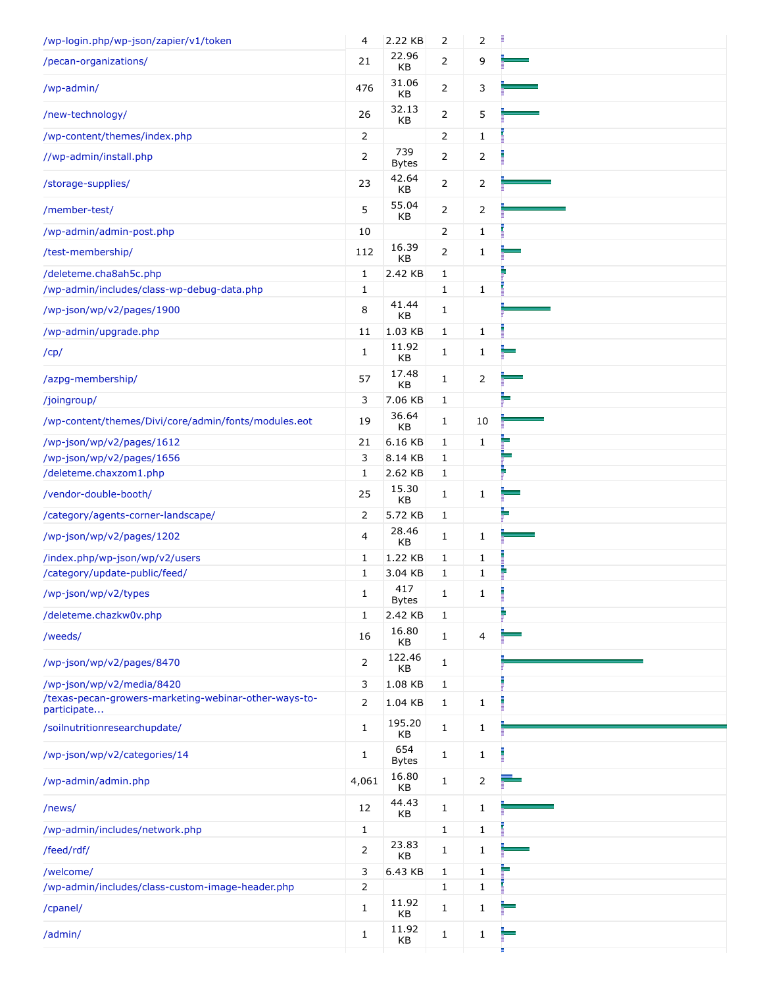| /wp-login.php/wp-json/zapier/v1/token                                | 4              | 2.22 KB             | $\overline{2}$ | 2              |   |
|----------------------------------------------------------------------|----------------|---------------------|----------------|----------------|---|
| /pecan-organizations/                                                | 21             | 22.96<br>KB         | $\mathbf{2}$   | 9              |   |
| /wp-admin/                                                           | 476            | 31.06<br>KB         | $\overline{2}$ | 3              |   |
| /new-technology/                                                     | 26             | 32.13<br>KB         | $\overline{2}$ | 5              |   |
| /wp-content/themes/index.php                                         | $\overline{2}$ |                     | $\overline{2}$ | $\mathbf{1}$   |   |
| //wp-admin/install.php                                               | 2              | 739<br><b>Bytes</b> | $\overline{2}$ | $\overline{2}$ |   |
| /storage-supplies/                                                   | 23             | 42.64<br>KB         | $\mathbf{2}$   | 2              |   |
| /member-test/                                                        | 5              | 55.04<br>KB         | 2              | 2              |   |
| /wp-admin/admin-post.php                                             | 10             |                     | $\overline{2}$ | 1              |   |
| /test-membership/                                                    | 112            | 16.39<br>KB         | $\mathbf{2}$   | 1              |   |
| /deleteme.cha8ah5c.php                                               | 1              | 2.42 KB             | $\mathbf{1}$   |                |   |
| /wp-admin/includes/class-wp-debug-data.php                           | 1              |                     | $\mathbf{1}$   | 1              |   |
| /wp-json/wp/v2/pages/1900                                            | 8              | 41.44<br>KB         | 1              |                |   |
| /wp-admin/upgrade.php                                                | 11             | 1.03 KB             | $\mathbf{1}$   | $\mathbf{1}$   |   |
| /cp/                                                                 | $\mathbf{1}$   | 11.92<br>KB         | 1              | 1              |   |
| /azpg-membership/                                                    | 57             | 17.48<br>KB         | $\mathbf{1}$   | $\overline{2}$ |   |
| /joingroup/                                                          | 3              | 7.06 KB             | $\mathbf{1}$   |                |   |
| /wp-content/themes/Divi/core/admin/fonts/modules.eot                 | 19             | 36.64<br>KB         | 1              | 10             |   |
| /wp-json/wp/v2/pages/1612                                            | 21             | 6.16 KB             | 1              | $\mathbf{1}$   |   |
| /wp-json/wp/v2/pages/1656                                            | 3              | 8.14 KB             | 1              |                | - |
| /deleteme.chaxzom1.php                                               | 1              | 2.62 KB             | $\mathbf{1}$   |                |   |
| /vendor-double-booth/                                                | 25             | 15.30<br>KB         | 1              | 1              |   |
| /category/agents-corner-landscape/                                   | 2              | 5.72 KB             | $\mathbf{1}$   |                |   |
| /wp-json/wp/v2/pages/1202                                            | 4              | 28.46<br>KB         | 1              | 1              |   |
| /index.php/wp-json/wp/v2/users                                       | 1              | 1.22 KB             | $\mathbf{1}$   | 1              |   |
| /category/update-public/feed/                                        | $\mathbf{1}$   | 3.04 KB             | 1              | 1              |   |
| /wp-json/wp/v2/types                                                 | $\mathbf{1}$   | 417<br><b>Bytes</b> | 1              | $\mathbf{1}$   |   |
| /deleteme.chazkw0v.php                                               | $\mathbf{1}$   | 2.42 KB             | $\mathbf{1}$   |                |   |
| /weeds/                                                              | 16             | 16.80<br>KB         | 1              | 4              |   |
| /wp-json/wp/v2/pages/8470                                            | $\overline{2}$ | 122.46<br>KB        | $\mathbf{1}$   |                |   |
| /wp-json/wp/v2/media/8420                                            | 3              | 1.08 KB             | $\mathbf{1}$   |                |   |
| /texas-pecan-growers-marketing-webinar-other-ways-to-<br>participate | $\overline{2}$ | 1.04 KB             | $\mathbf{1}$   | 1              |   |
| /soilnutritionresearchupdate/                                        | $\mathbf{1}$   | 195.20<br>KB        | 1              | 1              |   |
| /wp-json/wp/v2/categories/14                                         | 1              | 654<br><b>Bytes</b> | 1              | 1              |   |
| /wp-admin/admin.php                                                  | 4,061          | 16.80<br>KВ         | $\mathbf{1}$   | 2              |   |
| /news/                                                               | 12             | 44.43<br>KB         | 1              | 1              |   |
| /wp-admin/includes/network.php                                       | $\mathbf{1}$   |                     | $\mathbf{1}$   | 1              |   |
| /feed/rdf/                                                           | 2              | 23.83<br>KB         | 1              | 1              |   |
| /welcome/                                                            | 3              | 6.43 KB             | $\mathbf{1}$   | 1              |   |
| /wp-admin/includes/class-custom-image-header.php                     | 2              |                     | $\mathbf{1}$   | 1              |   |
| /cpanel/                                                             | 1              | 11.92<br>KB         | 1              | 1              |   |
| /admin/                                                              | $\mathbf{1}$   | 11.92<br>KB         | 1              | 1              |   |
|                                                                      |                |                     |                |                |   |